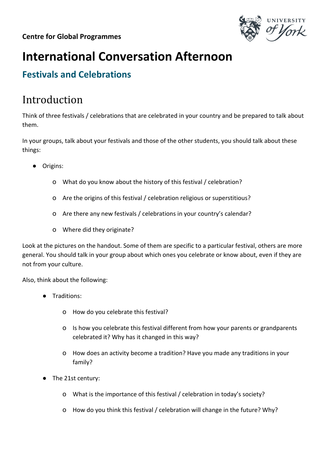

## **International Conversation Afternoon**

## **Festivals and Celebrations**

## Introduction

Think of three festivals / celebrations that are celebrated in your country and be prepared to talk about them.

In your groups, talk about your festivals and those of the other students, you should talk about these things:

- Origins:
	- o What do you know about the history of this festival / celebration?
	- o Are the origins of this festival / celebration religious or superstitious?
	- o Are there any new festivals / celebrations in your country's calendar?
	- o Where did they originate?

Look at the pictures on the handout. Some of them are specific to a particular festival, others are more general. You should talk in your group about which ones you celebrate or know about, even if they are not from your culture.

Also, think about the following:

- Traditions:
	- o How do you celebrate this festival?
	- o Is how you celebrate this festival different from how your parents or grandparents celebrated it? Why has it changed in this way?
	- o How does an activity become a tradition? Have you made any traditions in your family?
- The 21st century:
	- o What is the importance of this festival / celebration in today's society?
	- o How do you think this festival / celebration will change in the future? Why?